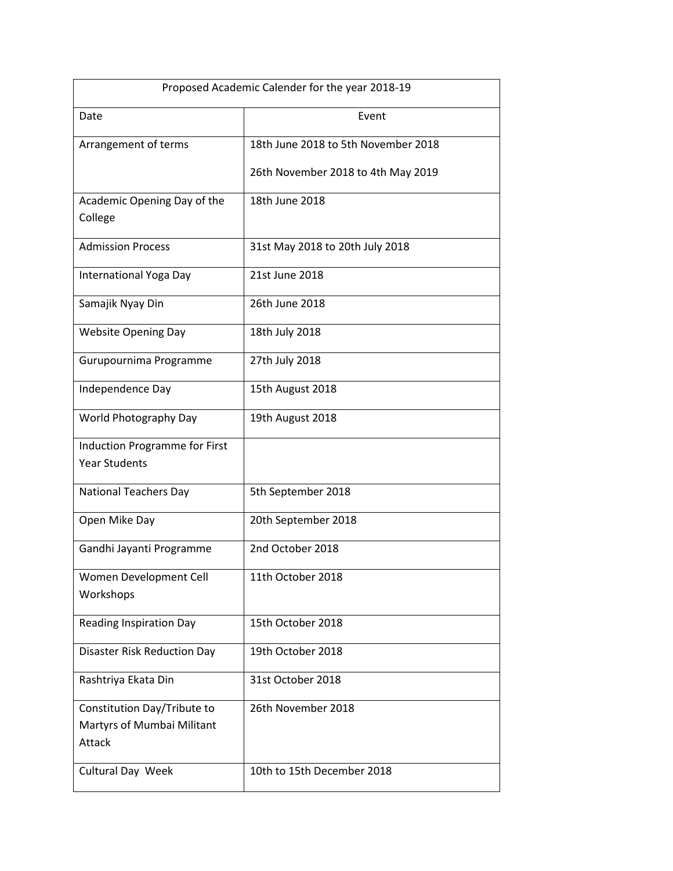| Proposed Academic Calender for the year 2018-19                     |                                     |
|---------------------------------------------------------------------|-------------------------------------|
| Date                                                                | Event                               |
| Arrangement of terms                                                | 18th June 2018 to 5th November 2018 |
|                                                                     | 26th November 2018 to 4th May 2019  |
| Academic Opening Day of the<br>College                              | 18th June 2018                      |
| <b>Admission Process</b>                                            | 31st May 2018 to 20th July 2018     |
| International Yoga Day                                              | 21st June 2018                      |
| Samajik Nyay Din                                                    | 26th June 2018                      |
| <b>Website Opening Day</b>                                          | 18th July 2018                      |
| Gurupournima Programme                                              | 27th July 2018                      |
| Independence Day                                                    | 15th August 2018                    |
| World Photography Day                                               | 19th August 2018                    |
| <b>Induction Programme for First</b>                                |                                     |
| <b>Year Students</b>                                                |                                     |
| <b>National Teachers Day</b>                                        | 5th September 2018                  |
| Open Mike Day                                                       | 20th September 2018                 |
| Gandhi Jayanti Programme                                            | 2nd October 2018                    |
| Women Development Cell                                              | 11th October 2018                   |
| Workshops                                                           |                                     |
| <b>Reading Inspiration Day</b>                                      | 15th October 2018                   |
| <b>Disaster Risk Reduction Day</b>                                  | 19th October 2018                   |
| Rashtriya Ekata Din                                                 | 31st October 2018                   |
| Constitution Day/Tribute to<br>Martyrs of Mumbai Militant<br>Attack | 26th November 2018                  |
| Cultural Day Week                                                   | 10th to 15th December 2018          |